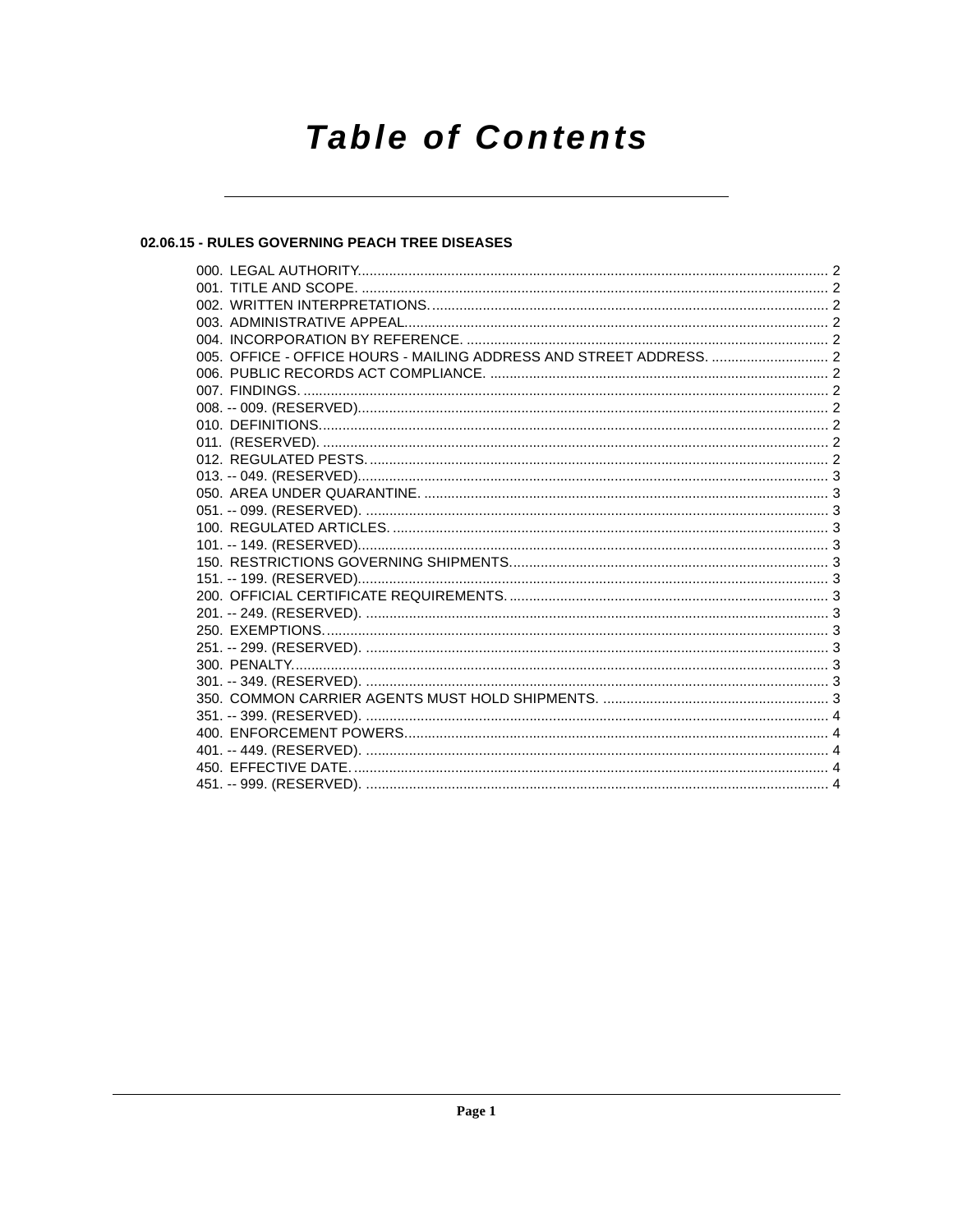# **Table of Contents**

## 02.06.15 - RULES GOVERNING PEACH TREE DISEASES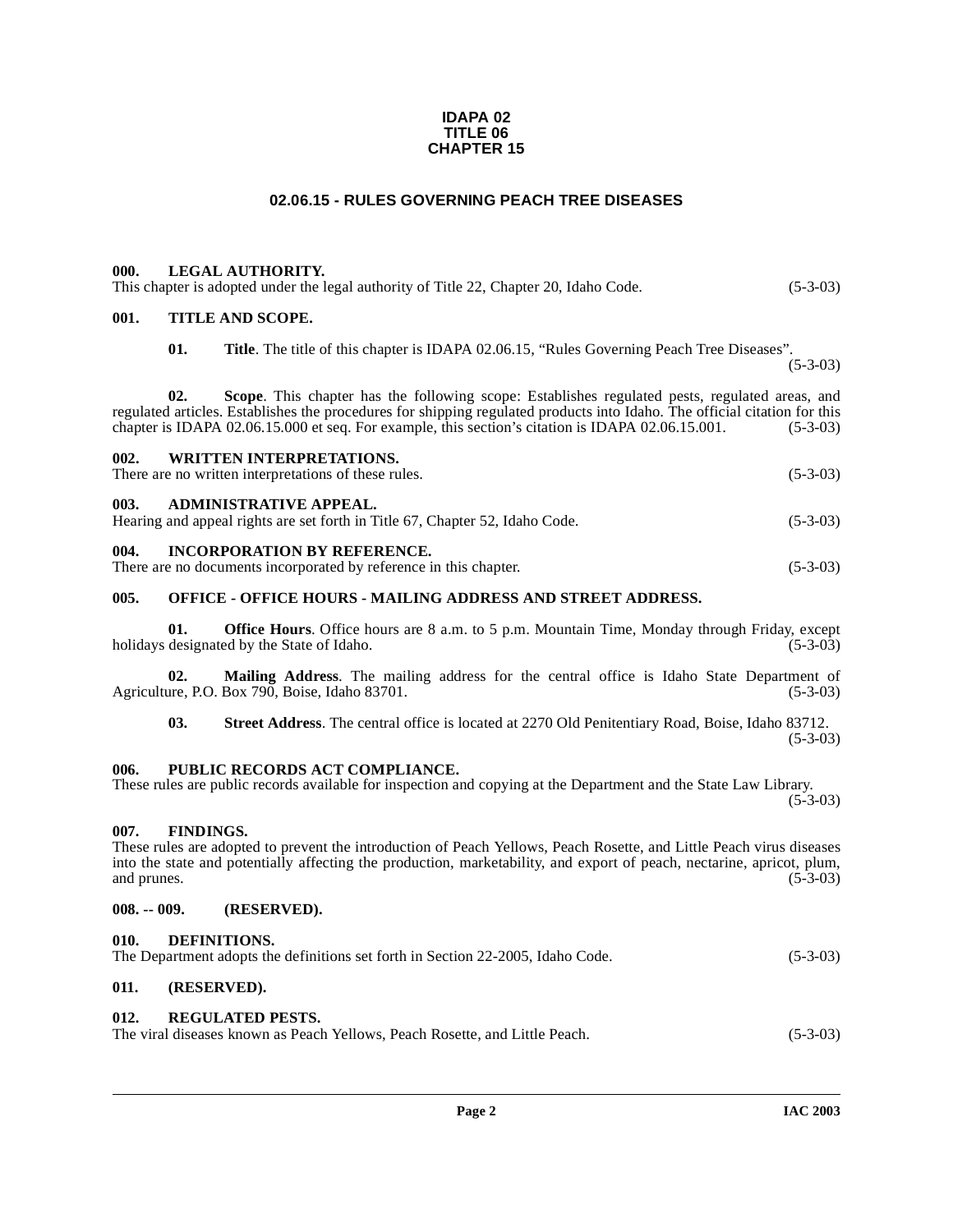#### **IDAPA 02 TITLE 06 CHAPTER 15**

#### **02.06.15 - RULES GOVERNING PEACH TREE DISEASES**

#### <span id="page-1-1"></span><span id="page-1-0"></span>**000. LEGAL AUTHORITY.**

|  | This chapter is adopted under the legal authority of Title 22, Chapter 20, Idaho Code. | $(5-3-03)$ |
|--|----------------------------------------------------------------------------------------|------------|
|--|----------------------------------------------------------------------------------------|------------|

#### <span id="page-1-2"></span>**001. TITLE AND SCOPE.**

**01. Title**. The title of this chapter is IDAPA 02.06.15, "Rules Governing Peach Tree Diseases".

(5-3-03)

**02. Scope**. This chapter has the following scope: Establishes regulated pests, regulated areas, and regulated articles. Establishes the procedures for shipping regulated products into Idaho. The official citation for this chapter is IDAPA 02.06.15.000 et seq. For example, this section's citation is IDAPA 02.06.15.001. (5 chapter is IDAPA 02.06.15.000 et seq. For example, this section's citation is IDAPA 02.06.15.001.

<span id="page-1-4"></span><span id="page-1-3"></span>

| <b>WRITTEN INTERPRETATIONS.</b><br>002.<br>There are no written interpretations of these rules.                 | $(5-3-03)$ |  |
|-----------------------------------------------------------------------------------------------------------------|------------|--|
| ADMINISTRATIVE APPEAL.<br>003.<br>Hearing and appeal rights are set forth in Title 67, Chapter 52, Idaho Code.  | $(5-3-03)$ |  |
| 004.<br><b>INCORPORATION BY REFERENCE.</b><br>There are no documents incorporated by reference in this chapter. | $(5-3-03)$ |  |

#### <span id="page-1-6"></span><span id="page-1-5"></span>**005. OFFICE - OFFICE HOURS - MAILING ADDRESS AND STREET ADDRESS.**

**01. Office Hours**. Office hours are 8 a.m. to 5 p.m. Mountain Time, Monday through Friday, except designated by the State of Idaho. (5-3-03) holidays designated by the State of Idaho.

**02.** Mailing Address. The mailing address for the central office is Idaho State Department of ure, P.O. Box 790, Boise, Idaho 83701. (5-3-03) Agriculture, P.O. Box 790, Boise, Idaho 83701.

**03. Street Address**. The central office is located at 2270 Old Penitentiary Road, Boise, Idaho 83712. (5-3-03)

#### <span id="page-1-7"></span>**006. PUBLIC RECORDS ACT COMPLIANCE.**

#### These rules are public records available for inspection and copying at the Department and the State Law Library.

 $(5-3-03)$ 

#### <span id="page-1-8"></span>**007. FINDINGS.**

These rules are adopted to prevent the introduction of Peach Yellows, Peach Rosette, and Little Peach virus diseases into the state and potentially affecting the production, marketability, and export of peach, nectarine, apricot, plum, and prunes. (5-3-03)

#### <span id="page-1-9"></span>**008. -- 009. (RESERVED).**

#### <span id="page-1-13"></span><span id="page-1-10"></span>**010. DEFINITIONS.**

| The Department adopts the definitions set forth in Section 22-2005, Idaho Code. | $(5-3-03)$ |
|---------------------------------------------------------------------------------|------------|
|---------------------------------------------------------------------------------|------------|

# <span id="page-1-11"></span>**011. (RESERVED).**

#### <span id="page-1-12"></span>**012. REGULATED PESTS.**

The viral diseases known as Peach Yellows, Peach Rosette, and Little Peach. (5-3-03)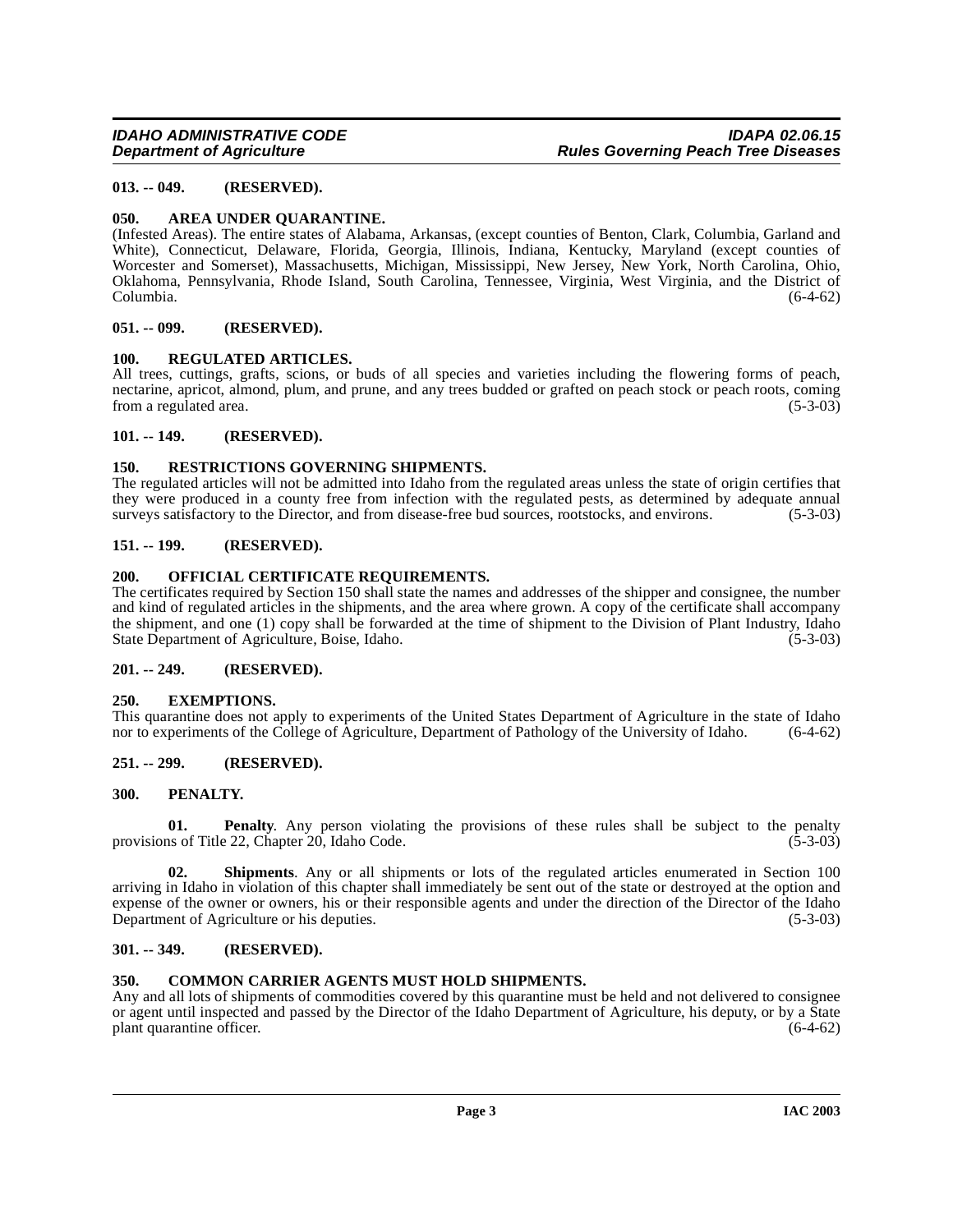### <span id="page-2-0"></span>**013. -- 049. (RESERVED).**

#### <span id="page-2-14"></span><span id="page-2-1"></span>**050. AREA UNDER QUARANTINE.**

(Infested Areas). The entire states of Alabama, Arkansas, (except counties of Benton, Clark, Columbia, Garland and White), Connecticut, Delaware, Florida, Georgia, Illinois, Indiana, Kentucky, Maryland (except counties of Worcester and Somerset), Massachusetts, Michigan, Mississippi, New Jersey, New York, North Carolina, Ohio, Oklahoma, Pennsylvania, Rhode Island, South Carolina, Tennessee, Virginia, West Virginia, and the District of Columbia. (6-4-62)

#### <span id="page-2-2"></span>**051. -- 099. (RESERVED).**

#### <span id="page-2-18"></span><span id="page-2-3"></span>**100. REGULATED ARTICLES.**

All trees, cuttings, grafts, scions, or buds of all species and varieties including the flowering forms of peach, nectarine, apricot, almond, plum, and prune, and any trees budded or grafted on peach stock or peach roots, coming from a regulated area. (5-3-03)

#### <span id="page-2-4"></span>**101. -- 149. (RESERVED).**

#### <span id="page-2-19"></span><span id="page-2-5"></span>**150. RESTRICTIONS GOVERNING SHIPMENTS.**

The regulated articles will not be admitted into Idaho from the regulated areas unless the state of origin certifies that they were produced in a county free from infection with the regulated pests, as determined by adequate annual surveys satisfactory to the Director, and from disease-free bud sources, rootstocks, and environs. (5-3-03)

#### <span id="page-2-6"></span>**151. -- 199. (RESERVED).**

#### <span id="page-2-17"></span><span id="page-2-7"></span>**200. OFFICIAL CERTIFICATE REQUIREMENTS.**

The certificates required by Section 150 shall state the names and addresses of the shipper and consignee, the number and kind of regulated articles in the shipments, and the area where grown. A copy of the certificate shall accompany the shipment, and one (1) copy shall be forwarded at the time of shipment to the Division of Plant Industry, Idaho State Department of Agriculture, Boise, Idaho. (5-3-03)

#### <span id="page-2-8"></span>**201. -- 249. (RESERVED).**

#### <span id="page-2-16"></span><span id="page-2-9"></span>**250. EXEMPTIONS.**

This quarantine does not apply to experiments of the United States Department of Agriculture in the state of Idaho nor to experiments of the College of Agriculture, Department of Pathology of the University of Idaho. (6-4-62)

### <span id="page-2-10"></span>**251. -- 299. (RESERVED).**

### <span id="page-2-11"></span>**300. PENALTY.**

**01. Penalty**. Any person violating the provisions of these rules shall be subject to the penalty provisions of Title 22, Chapter 20, Idaho Code. (5-3-03)

**02. Shipments**. Any or all shipments or lots of the regulated articles enumerated in Section 100 arriving in Idaho in violation of this chapter shall immediately be sent out of the state or destroyed at the option and expense of the owner or owners, his or their responsible agents and under the direction of the Director of the Idaho Department of Agriculture or his deputies. (5-3-03)

### <span id="page-2-12"></span>**301. -- 349. (RESERVED).**

### <span id="page-2-15"></span><span id="page-2-13"></span>**350. COMMON CARRIER AGENTS MUST HOLD SHIPMENTS.**

Any and all lots of shipments of commodities covered by this quarantine must be held and not delivered to consignee or agent until inspected and passed by the Director of the Idaho Department of Agriculture, his deputy, or by a State plant quarantine officer. plant quarantine officer.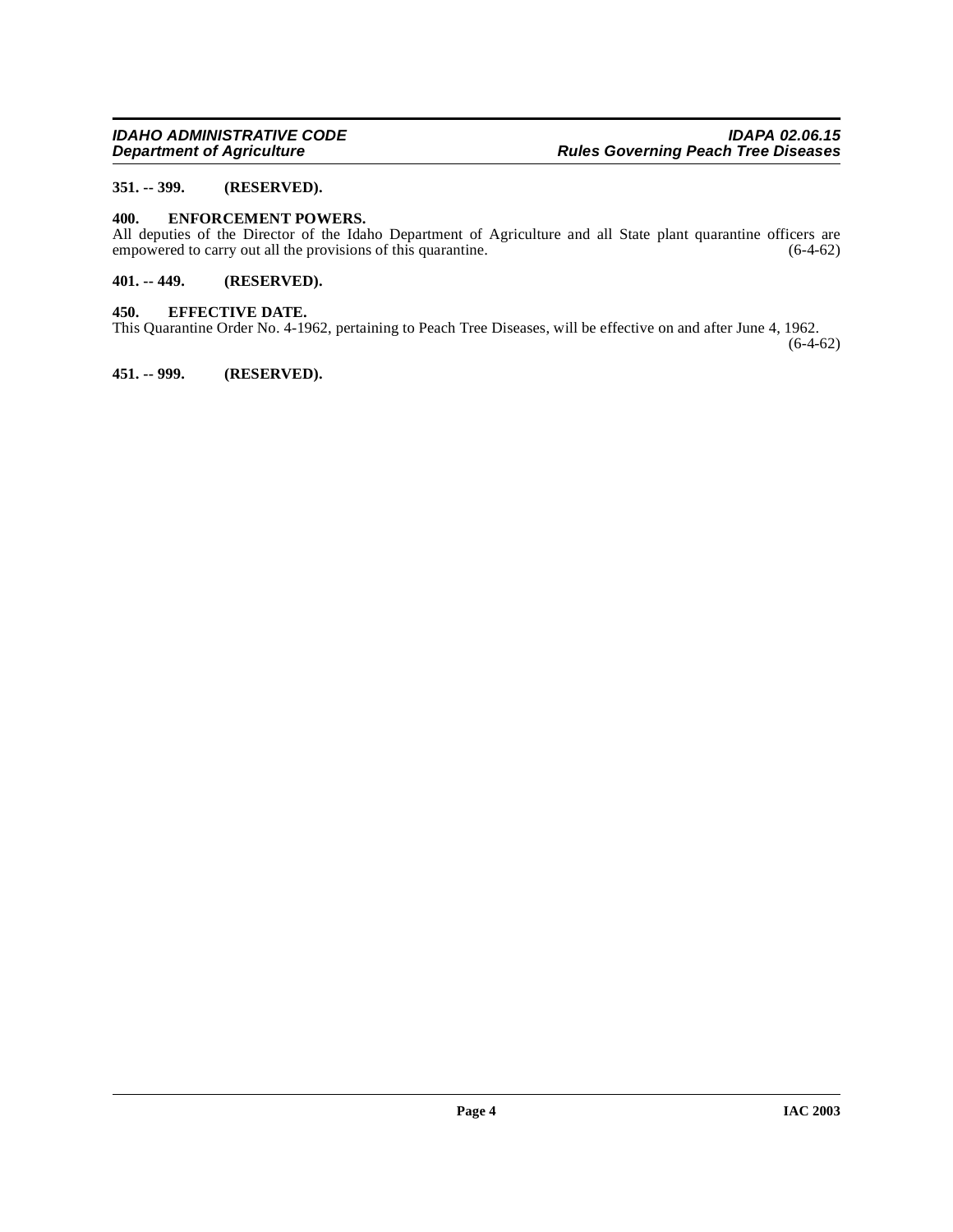#### <span id="page-3-0"></span>**351. -- 399. (RESERVED).**

#### <span id="page-3-1"></span>**400. ENFORCEMENT POWERS.**

All deputies of the Director of the Idaho Department of Agriculture and all State plant quarantine officers are empowered to carry out all the provisions of this quarantine. (6-4-62) empowered to carry out all the provisions of this quarantine.

#### <span id="page-3-2"></span>**401. -- 449. (RESERVED).**

#### <span id="page-3-3"></span>**450. EFFECTIVE DATE.**

This Quarantine Order No. 4-1962, pertaining to Peach Tree Diseases, will be effective on and after June 4, 1962.

 $(6-4-62)$ 

#### <span id="page-3-4"></span>**451. -- 999. (RESERVED).**